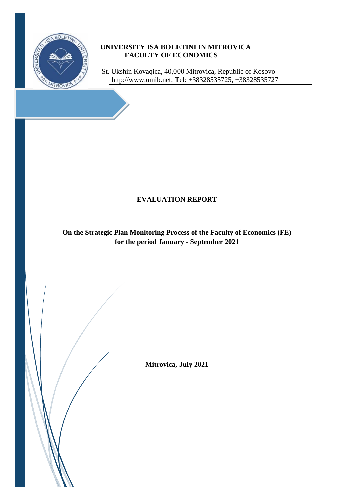

### **UNIVERSITY ISA BOLETINI IN MITROVICA FACULTY OF ECONOMICS**

 St. Ukshin Kovaqica, 40,000 Mitrovica, Republic of Kosovo [http://www.umib.net;](http://www.umib.net/) Tel: +38328535725, +38328535727

## **EVALUATION REPORT**

**On the Strategic Plan Monitoring Process of the Faculty of Economics (FE) for the period January - September 2021**

**Mitrovica, July 2021**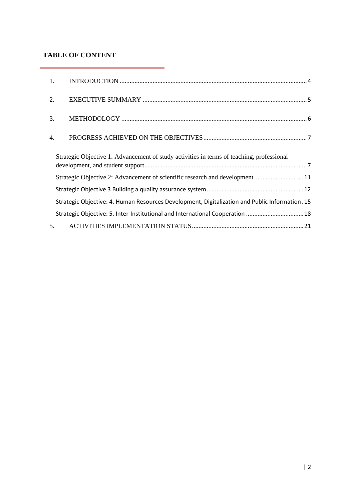#### **TABLE OF CONTENT**

i.

| 1. |                                                                                                |  |
|----|------------------------------------------------------------------------------------------------|--|
| 2. |                                                                                                |  |
| 3. |                                                                                                |  |
| 4. |                                                                                                |  |
|    | Strategic Objective 1: Advancement of study activities in terms of teaching, professional      |  |
|    | Strategic Objective 2: Advancement of scientific research and development 11                   |  |
|    |                                                                                                |  |
|    | Strategic Objective: 4. Human Resources Development, Digitalization and Public Information. 15 |  |
|    | Strategic Objective: 5. Inter-Institutional and International Cooperation  18                  |  |
| 5. |                                                                                                |  |

÷.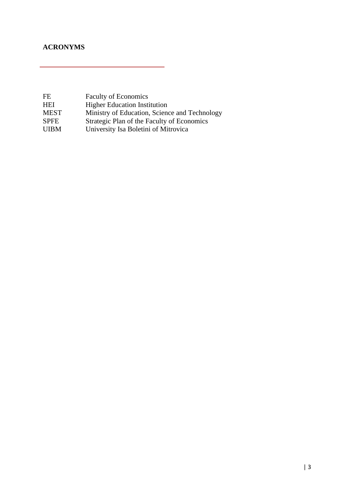### **ACRONYMS**

| <b>Faculty of Economics</b>                   |
|-----------------------------------------------|
| <b>Higher Education Institution</b>           |
| Ministry of Education, Science and Technology |
| Strategic Plan of the Faculty of Economics    |
| University Isa Boletini of Mitrovica          |
|                                               |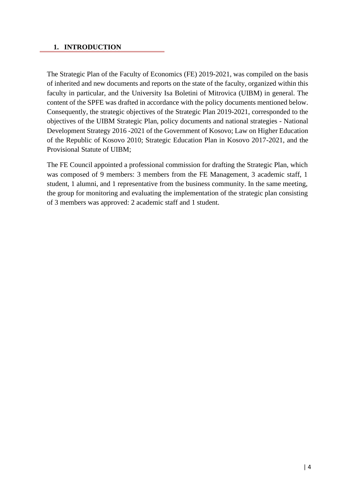#### <span id="page-3-0"></span>**1. INTRODUCTION**

The Strategic Plan of the Faculty of Economics (FE) 2019-2021, was compiled on the basis of inherited and new documents and reports on the state of the faculty, organized within this faculty in particular, and the University Isa Boletini of Mitrovica (UIBM) in general. The content of the SPFE was drafted in accordance with the policy documents mentioned below. Consequently, the strategic objectives of the Strategic Plan 2019-2021, corresponded to the objectives of the UIBM Strategic Plan, policy documents and national strategies - National Development Strategy 2016 -2021 of the Government of Kosovo; Law on Higher Education of the Republic of Kosovo 2010; Strategic Education Plan in Kosovo 2017-2021, and the Provisional Statute of UIBM;

The FE Council appointed a professional commission for drafting the Strategic Plan, which was composed of 9 members: 3 members from the FE Management, 3 academic staff, 1 student, 1 alumni, and 1 representative from the business community. In the same meeting, the group for monitoring and evaluating the implementation of the strategic plan consisting of 3 members was approved: 2 academic staff and 1 student.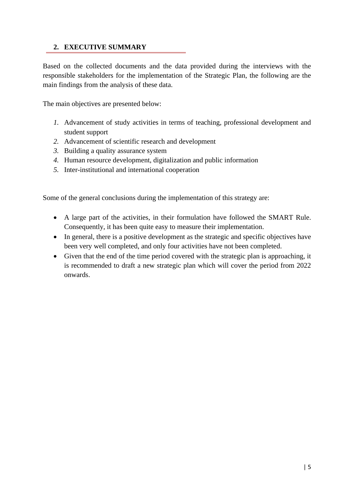### <span id="page-4-0"></span>**2. EXECUTIVE SUMMARY**

Based on the collected documents and the data provided during the interviews with the responsible stakeholders for the implementation of the Strategic Plan, the following are the main findings from the analysis of these data.

The main objectives are presented below:

- *1.* Advancement of study activities in terms of teaching, professional development and student support
- *2.* Advancement of scientific research and development
- *3.* Building a quality assurance system
- *4.* Human resource development, digitalization and public information
- *5.* Inter-institutional and international cooperation

Some of the general conclusions during the implementation of this strategy are:

- A large part of the activities, in their formulation have followed the SMART Rule. Consequently, it has been quite easy to measure their implementation.
- In general, there is a positive development as the strategic and specific objectives have been very well completed, and only four activities have not been completed.
- Given that the end of the time period covered with the strategic plan is approaching, it is recommended to draft a new strategic plan which will cover the period from 2022 onwards.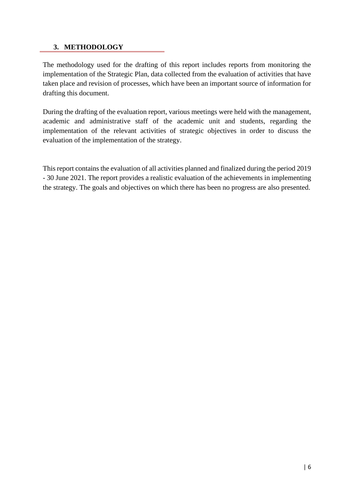#### <span id="page-5-0"></span>**3. METHODOLOGY**

The methodology used for the drafting of this report includes reports from monitoring the implementation of the Strategic Plan, data collected from the evaluation of activities that have taken place and revision of processes, which have been an important source of information for drafting this document.

During the drafting of the evaluation report, various meetings were held with the management, academic and administrative staff of the academic unit and students, regarding the implementation of the relevant activities of strategic objectives in order to discuss the evaluation of the implementation of the strategy.

This report contains the evaluation of all activities planned and finalized during the period 2019 - 30 June 2021. The report provides a realistic evaluation of the achievements in implementing the strategy. The goals and objectives on which there has been no progress are also presented.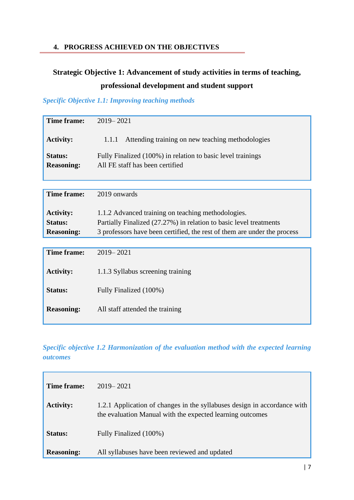### <span id="page-6-0"></span>**4. PROGRESS ACHIEVED ON THE OBJECTIVES**

# <span id="page-6-1"></span>**Strategic Objective 1: Advancement of study activities in terms of teaching, professional development and student support**

### *Specific Objective 1.1: Improving teaching methods*

| Time frame:                         | $2019 - 2021$                                                                                  |
|-------------------------------------|------------------------------------------------------------------------------------------------|
| <b>Activity:</b>                    | Attending training on new teaching methodologies<br>1.1.1                                      |
| <b>Status:</b><br><b>Reasoning:</b> | Fully Finalized (100%) in relation to basic level trainings<br>All FE staff has been certified |

| Time frame:       | 2019 onwards                                                             |
|-------------------|--------------------------------------------------------------------------|
| <b>Activity:</b>  | 1.1.2 Advanced training on teaching methodologies.                       |
| Status:           | Partially Finalized (27.27%) in relation to basic level treatments       |
| <b>Reasoning:</b> | 3 professors have been certified, the rest of them are under the process |
|                   |                                                                          |
| Time frame:       | $2019 - 2021$                                                            |
| <b>Activity:</b>  | 1.1.3 Syllabus screening training                                        |
| <b>Status:</b>    | Fully Finalized (100%)                                                   |
| <b>Reasoning:</b> | All staff attended the training                                          |

*Specific objective 1.2 Harmonization of the evaluation method with the expected learning outcomes*

| Time frame:       | $2019 - 2021$                                                                                                                         |
|-------------------|---------------------------------------------------------------------------------------------------------------------------------------|
| <b>Activity:</b>  | 1.2.1 Application of changes in the syllabuses design in accordance with<br>the evaluation Manual with the expected learning outcomes |
| <b>Status:</b>    | Fully Finalized (100%)                                                                                                                |
| <b>Reasoning:</b> | All syllabuses have been reviewed and updated                                                                                         |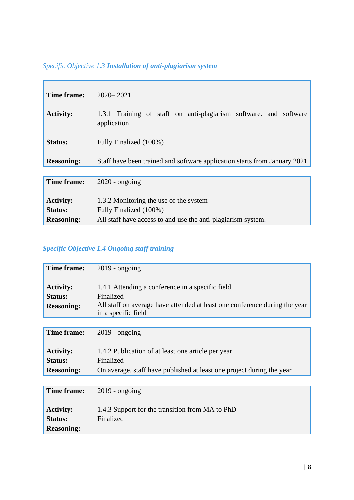# *Specific Objective 1.3 Installation of anti-plagiarism system*

| Time frame:       | $2020 - 2021$                                                                    |
|-------------------|----------------------------------------------------------------------------------|
| <b>Activity:</b>  | 1.3.1 Training of staff on anti-plagiarism software, and software<br>application |
| Status:           | Fully Finalized (100%)                                                           |
| <b>Reasoning:</b> | Staff have been trained and software application starts from January 2021        |
|                   |                                                                                  |
| Time frame:       | $2020$ - ongoing                                                                 |
| <b>Activity:</b>  | 1.3.2 Monitoring the use of the system                                           |
| <b>Status:</b>    | Fully Finalized (100%)                                                           |
| <b>Reasoning:</b> | All staff have access to and use the anti-plagiarism system.                     |

## *Specific Objective 1.4 Ongoing staff training*

| Time frame:        |                                                                                                   |
|--------------------|---------------------------------------------------------------------------------------------------|
|                    | $2019$ - ongoing                                                                                  |
|                    |                                                                                                   |
| <b>Activity:</b>   | 1.4.1 Attending a conference in a specific field                                                  |
| Status:            | Finalized                                                                                         |
| <b>Reasoning:</b>  | All staff on average have attended at least one conference during the year<br>in a specific field |
|                    |                                                                                                   |
| Time frame:        | $2019$ - ongoing                                                                                  |
|                    |                                                                                                   |
| <b>Activity:</b>   | 1.4.2 Publication of at least one article per year                                                |
| <b>Status:</b>     | Finalized                                                                                         |
| <b>Reasoning:</b>  | On average, staff have published at least one project during the year                             |
|                    |                                                                                                   |
| <b>Time frame:</b> | $2019$ - ongoing                                                                                  |
|                    |                                                                                                   |
| <b>Activity:</b>   | 1.4.3 Support for the transition from MA to PhD                                                   |
| <b>Status:</b>     | Finalized                                                                                         |
| <b>Reasoning:</b>  |                                                                                                   |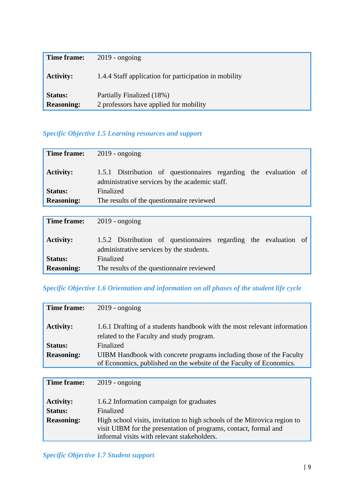| Time frame:                         | $2019$ - ongoing                                                    |
|-------------------------------------|---------------------------------------------------------------------|
| <b>Activity:</b>                    | 1.4.4 Staff application for participation in mobility               |
| <b>Status:</b><br><b>Reasoning:</b> | Partially Finalized (18%)<br>2 professors have applied for mobility |

### *Specific Objective 1.5 Learning resources and support*

| Time frame:       | $2019$ - ongoing                                                                                                   |
|-------------------|--------------------------------------------------------------------------------------------------------------------|
| <b>Activity:</b>  | 1.5.1 Distribution of questionnaires regarding the evaluation of<br>administrative services by the academic staff. |
| <b>Status:</b>    | Finalized                                                                                                          |
| <b>Reasoning:</b> | The results of the question aire reviewed                                                                          |
|                   |                                                                                                                    |
| Time frame:       | $2019$ - ongoing                                                                                                   |
| <b>Activity:</b>  | 1.5.2 Distribution of questionnaires regarding the evaluation<br>of<br>administrative services by the students.    |
| <b>Status:</b>    | Finalized                                                                                                          |

### *Specific Objective 1.6 Orientation and information on all phases of the student life cycle*

The results of the questionnaire reviewed

| Time frame:       | $2019$ - ongoing                                                                                                                           |
|-------------------|--------------------------------------------------------------------------------------------------------------------------------------------|
| <b>Activity:</b>  | 1.6.1 Drafting of a students handbook with the most relevant information<br>related to the Faculty and study program.                      |
| <b>Status:</b>    | Finalized                                                                                                                                  |
| <b>Reasoning:</b> | UIBM Handbook with concrete programs including those of the Faculty<br>of Economics, published on the website of the Faculty of Economics. |

| Time frame:                                             | $2019$ - ongoing                                                                                                                                                                                                                                      |
|---------------------------------------------------------|-------------------------------------------------------------------------------------------------------------------------------------------------------------------------------------------------------------------------------------------------------|
| <b>Activity:</b><br><b>Status:</b><br><b>Reasoning:</b> | 1.6.2 Information campaign for graduates<br>Finalized<br>High school visits, invitation to high schools of the Mitrovica region to<br>visit UIBM for the presentation of programs, contact, formal and<br>informal visits with relevant stakeholders. |

**Reasoning:**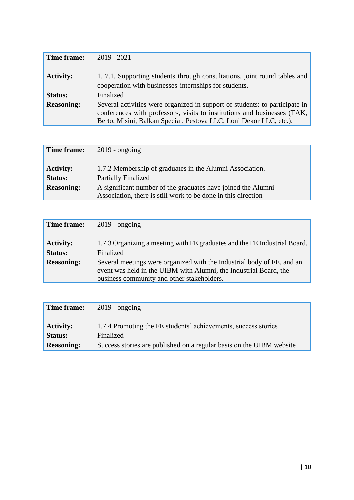| Time frame:       | $2019 - 2021$                                                                                                                                                                                                                 |
|-------------------|-------------------------------------------------------------------------------------------------------------------------------------------------------------------------------------------------------------------------------|
| <b>Activity:</b>  | 1.7.1. Supporting students through consultations, joint round tables and<br>cooperation with businesses-internships for students.                                                                                             |
| <b>Status:</b>    | Finalized                                                                                                                                                                                                                     |
| <b>Reasoning:</b> | Several activities were organized in support of students: to participate in<br>conferences with professors, visits to institutions and businesses (TAK,<br>Berto, Misini, Balkan Special, Pestova LLC, Loni Dekor LLC, etc.). |

| Time frame:                                             | $2019$ - ongoing                                                                                                                                                                                                        |
|---------------------------------------------------------|-------------------------------------------------------------------------------------------------------------------------------------------------------------------------------------------------------------------------|
| <b>Activity:</b><br><b>Status:</b><br><b>Reasoning:</b> | 1.7.2 Membership of graduates in the Alumni Association.<br><b>Partially Finalized</b><br>A significant number of the graduates have joined the Alumni<br>Association, there is still work to be done in this direction |

| Time frame:                                             | $2019$ - ongoing                                                                                                                                                                                                                                                                    |
|---------------------------------------------------------|-------------------------------------------------------------------------------------------------------------------------------------------------------------------------------------------------------------------------------------------------------------------------------------|
| <b>Activity:</b><br><b>Status:</b><br><b>Reasoning:</b> | 1.7.3 Organizing a meeting with FE graduates and the FE Industrial Board.<br>Finalized<br>Several meetings were organized with the Industrial body of FE, and an<br>event was held in the UIBM with Alumni, the Industrial Board, the<br>business community and other stakeholders. |

| Time frame:       | $2019$ - ongoing                                                     |
|-------------------|----------------------------------------------------------------------|
| <b>Activity:</b>  | 1.7.4 Promoting the FE students' achievements, success stories       |
| <b>Status:</b>    | Finalized                                                            |
| <b>Reasoning:</b> | Success stories are published on a regular basis on the UIBM website |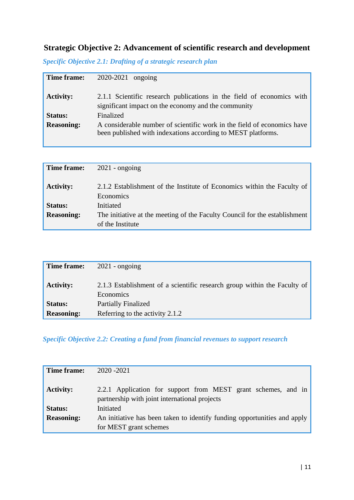# <span id="page-10-0"></span>**Strategic Objective 2: Advancement of scientific research and development**

| Time frame:       | 2020-2021 ongoing                                                                                                                       |
|-------------------|-----------------------------------------------------------------------------------------------------------------------------------------|
| <b>Activity:</b>  | 2.1.1 Scientific research publications in the field of economics with<br>significant impact on the economy and the community            |
| Status:           | Finalized                                                                                                                               |
| <b>Reasoning:</b> | A considerable number of scientific work in the field of economics have<br>been published with indexations according to MEST platforms. |

|  |  |  |  | <b>Specific Objective 2.1: Drafting of a strategic research plan</b> |  |
|--|--|--|--|----------------------------------------------------------------------|--|
|  |  |  |  |                                                                      |  |

| Time frame:       | $2021$ - ongoing                                                                     |
|-------------------|--------------------------------------------------------------------------------------|
| <b>Activity:</b>  | 2.1.2 Establishment of the Institute of Economics within the Faculty of<br>Economics |
| <b>Status:</b>    | Initiated                                                                            |
| <b>Reasoning:</b> | The initiative at the meeting of the Faculty Council for the establishment           |
|                   | of the Institute                                                                     |

| Time frame:       | $2021$ - ongoing                                                                      |
|-------------------|---------------------------------------------------------------------------------------|
| <b>Activity:</b>  | 2.1.3 Establishment of a scientific research group within the Faculty of<br>Economics |
| <b>Status:</b>    | <b>Partially Finalized</b>                                                            |
| <b>Reasoning:</b> | Referring to the activity 2.1.2                                                       |

*Specific Objective 2.2: Creating a fund from financial revenues to support research*

| Time frame:       | 2020 - 2021                                                                                                    |
|-------------------|----------------------------------------------------------------------------------------------------------------|
| <b>Activity:</b>  | 2.2.1 Application for support from MEST grant schemes, and in<br>partnership with joint international projects |
| <b>Status:</b>    | Initiated                                                                                                      |
| <b>Reasoning:</b> | An initiative has been taken to identify funding opportunities and apply                                       |
|                   | for MEST grant schemes                                                                                         |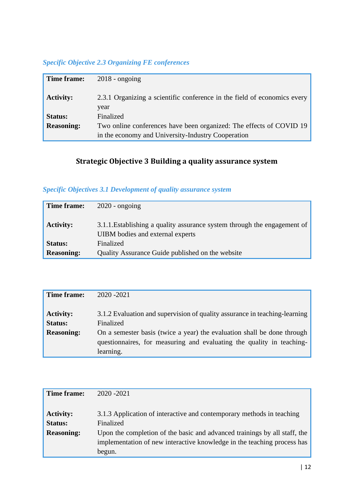### *Specific Objective 2.3 Organizing FE conferences*

| Time frame:       | $2018$ - ongoing                                                                 |
|-------------------|----------------------------------------------------------------------------------|
| <b>Activity:</b>  | 2.3.1 Organizing a scientific conference in the field of economics every<br>year |
| <b>Status:</b>    | Finalized                                                                        |
| <b>Reasoning:</b> | Two online conferences have been organized: The effects of COVID 19              |
|                   | in the economy and University-Industry Cooperation                               |

# **Strategic Objective 3 Building a quality assurance system**

### <span id="page-11-0"></span>*Specific Objectives 3.1 Development of quality assurance system*

| Time frame:       | $2020$ - ongoing                                                                                             |
|-------------------|--------------------------------------------------------------------------------------------------------------|
| <b>Activity:</b>  | 3.1.1. Establishing a quality assurance system through the engagement of<br>UIBM bodies and external experts |
| <b>Status:</b>    | Finalized                                                                                                    |
| <b>Reasoning:</b> | Quality Assurance Guide published on the website                                                             |

| Time frame:                        | 2020 - 2021                                                                                                                                                   |
|------------------------------------|---------------------------------------------------------------------------------------------------------------------------------------------------------------|
| <b>Activity:</b><br><b>Status:</b> | 3.1.2 Evaluation and supervision of quality assurance in teaching-learning<br>Finalized                                                                       |
| <b>Reasoning:</b>                  | On a semester basis (twice a year) the evaluation shall be done through<br>questionnaires, for measuring and evaluating the quality in teaching-<br>learning. |

| Time frame:       | 2020 - 2021                                                               |
|-------------------|---------------------------------------------------------------------------|
| <b>Activity:</b>  | 3.1.3 Application of interactive and contemporary methods in teaching     |
| <b>Status:</b>    | Finalized                                                                 |
| <b>Reasoning:</b> | Upon the completion of the basic and advanced trainings by all staff, the |
|                   | implementation of new interactive knowledge in the teaching process has   |
|                   | begun.                                                                    |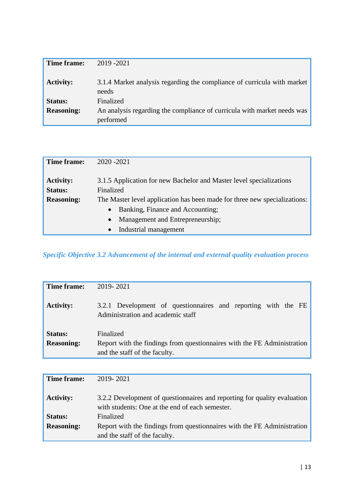| Time frame:       | 2019 - 2021                                                                          |
|-------------------|--------------------------------------------------------------------------------------|
| <b>Activity:</b>  | 3.1.4 Market analysis regarding the compliance of curricula with market<br>needs     |
| <b>Status:</b>    | Finalized                                                                            |
| <b>Reasoning:</b> | An analysis regarding the compliance of curricula with market needs was<br>performed |

| Time frame:       | 2020 - 2021                                                               |
|-------------------|---------------------------------------------------------------------------|
| <b>Activity:</b>  | 3.1.5 Application for new Bachelor and Master level specializations       |
| Status:           | Finalized                                                                 |
| <b>Reasoning:</b> | The Master level application has been made for three new specializations: |
|                   | Banking, Finance and Accounting;<br>$\bullet$                             |
|                   | Management and Entrepreneurship;<br>$\bullet$                             |
|                   | Industrial management<br>$\bullet$                                        |

*Specific Objective 3.2 Advancement of the internal and external quality evaluation process*

| Time frame:       | 2019-2021                                                                                                |
|-------------------|----------------------------------------------------------------------------------------------------------|
| <b>Activity:</b>  | 3.2.1 Development of questionnaires and reporting with the FE<br>Administration and academic staff       |
| Status:           | Finalized                                                                                                |
| <b>Reasoning:</b> | Report with the findings from questionnaires with the FE Administration<br>and the staff of the faculty. |

| Time frame:       | 2019-2021                                                                                                                   |
|-------------------|-----------------------------------------------------------------------------------------------------------------------------|
| <b>Activity:</b>  | 3.2.2 Development of questionnaires and reporting for quality evaluation<br>with students: One at the end of each semester. |
| <b>Status:</b>    | Finalized                                                                                                                   |
| <b>Reasoning:</b> | Report with the findings from questionnaires with the FE Administration<br>and the staff of the faculty.                    |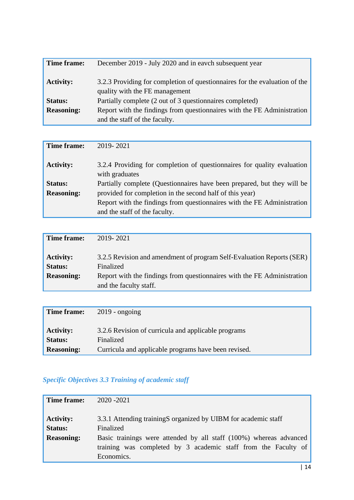| Time frame:       | December 2019 - July 2020 and in eavch subsequent year                                                       |
|-------------------|--------------------------------------------------------------------------------------------------------------|
| <b>Activity:</b>  | 3.2.3 Providing for completion of questionnaires for the evaluation of the<br>quality with the FE management |
| <b>Status:</b>    | Partially complete (2 out of 3 questionnaires completed)                                                     |
| <b>Reasoning:</b> | Report with the findings from questionnaires with the FE Administration<br>and the staff of the faculty.     |

| Time frame:       | 2019-2021                                                                                 |
|-------------------|-------------------------------------------------------------------------------------------|
| <b>Activity:</b>  | 3.2.4 Providing for completion of questionnaires for quality evaluation<br>with graduates |
| <b>Status:</b>    | Partially complete (Questionnaires have been prepared, but they will be                   |
| <b>Reasoning:</b> | provided for completion in the second half of this year)                                  |
|                   | Report with the findings from questionnaires with the FE Administration                   |
|                   | and the staff of the faculty.                                                             |

| Time frame:                                             | 2019-2021                                                                                                                                                                               |
|---------------------------------------------------------|-----------------------------------------------------------------------------------------------------------------------------------------------------------------------------------------|
| <b>Activity:</b><br><b>Status:</b><br><b>Reasoning:</b> | 3.2.5 Revision and amendment of program Self-Evaluation Reports (SER)<br>Finalized<br>Report with the findings from questionnaires with the FE Administration<br>and the faculty staff. |

| Time frame:       | $2019$ - ongoing                                     |
|-------------------|------------------------------------------------------|
| <b>Activity:</b>  | 3.2.6 Revision of curricula and applicable programs  |
| <b>Status:</b>    | Finalized                                            |
| <b>Reasoning:</b> | Curricula and applicable programs have been revised. |

# *Specific Objectives 3.3 Training of academic staff*

| Time frame:                                             | 2020 - 2021                                                                                                                                                                                                                       |
|---------------------------------------------------------|-----------------------------------------------------------------------------------------------------------------------------------------------------------------------------------------------------------------------------------|
| <b>Activity:</b><br><b>Status:</b><br><b>Reasoning:</b> | 3.3.1 Attending trainingS organized by UIBM for academic staff<br>Finalized<br>Basic trainings were attended by all staff (100%) whereas advanced<br>training was completed by 3 academic staff from the Faculty of<br>Economics. |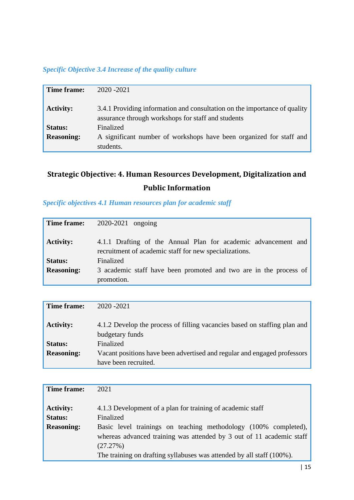### *Specific Objective 3.4 Increase of the quality culture*

| Time frame:       | 2020 - 2021                                                                                                                     |
|-------------------|---------------------------------------------------------------------------------------------------------------------------------|
| <b>Activity:</b>  | 3.4.1 Providing information and consultation on the importance of quality<br>assurance through workshops for staff and students |
| <b>Status:</b>    | Finalized                                                                                                                       |
| <b>Reasoning:</b> | A significant number of workshops have been organized for staff and<br>students.                                                |

# <span id="page-14-0"></span>**Strategic Objective: 4. Human Resources Development, Digitalization and Public Information**

*Specific objectives 4.1 Human resources plan for academic staff*

| Time frame:       | 2020-2021 ongoing                                                                                                        |
|-------------------|--------------------------------------------------------------------------------------------------------------------------|
| <b>Activity:</b>  | 4.1.1 Drafting of the Annual Plan for academic advancement and<br>recruitment of academic staff for new specializations. |
| <b>Status:</b>    | Finalized                                                                                                                |
| <b>Reasoning:</b> | 3 academic staff have been promoted and two are in the process of<br>promotion.                                          |

| Time frame:       | $2020 - 2021$                                                                                |
|-------------------|----------------------------------------------------------------------------------------------|
| <b>Activity:</b>  | 4.1.2 Develop the process of filling vacancies based on staffing plan and<br>budgetary funds |
| <b>Status:</b>    | Finalized                                                                                    |
| <b>Reasoning:</b> | Vacant positions have been advertised and regular and engaged professors                     |
|                   | have been recruited.                                                                         |

| Time frame:                                             | 2021                                                                                                                                                                                                                                                                                                    |
|---------------------------------------------------------|---------------------------------------------------------------------------------------------------------------------------------------------------------------------------------------------------------------------------------------------------------------------------------------------------------|
| <b>Activity:</b><br><b>Status:</b><br><b>Reasoning:</b> | 4.1.3 Development of a plan for training of academic staff<br>Finalized<br>Basic level trainings on teaching methodology (100% completed),<br>whereas advanced training was attended by 3 out of 11 academic staff<br>(27.27%)<br>The training on drafting syllabuses was attended by all staff (100%). |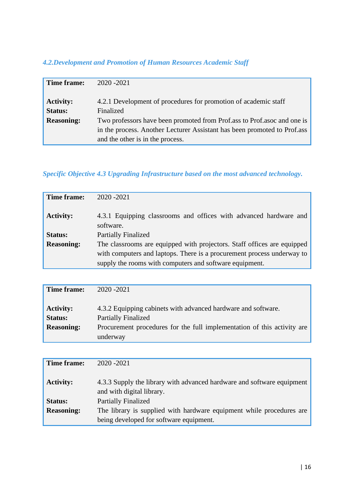## *4.2.Development and Promotion of Human Resources Academic Staff*

| Time frame:       | 2020 - 2021                                                              |
|-------------------|--------------------------------------------------------------------------|
|                   |                                                                          |
| <b>Activity:</b>  | 4.2.1 Development of procedures for promotion of academic staff          |
| <b>Status:</b>    | Finalized                                                                |
| <b>Reasoning:</b> | Two professors have been promoted from Prof.ass to Prof.asoc and one is  |
|                   | in the process. Another Lecturer Assistant has been promoted to Prof.ass |
|                   | and the other is in the process.                                         |

## *Specific Objective 4.3 Upgrading Infrastructure based on the most advanced technology.*

| Time frame:       | 2020 - 2021                                                                    |
|-------------------|--------------------------------------------------------------------------------|
| <b>Activity:</b>  | 4.3.1 Equipping classrooms and offices with advanced hardware and<br>software. |
| <b>Status:</b>    | <b>Partially Finalized</b>                                                     |
| <b>Reasoning:</b> | The classrooms are equipped with projectors. Staff offices are equipped        |
|                   | with computers and laptops. There is a procurement process underway to         |
|                   | supply the rooms with computers and software equipment.                        |

| Time frame:       | 2020 - 2021                                                             |
|-------------------|-------------------------------------------------------------------------|
|                   |                                                                         |
| <b>Activity:</b>  | 4.3.2 Equipping cabinets with advanced hardware and software.           |
| <b>Status:</b>    | <b>Partially Finalized</b>                                              |
| <b>Reasoning:</b> | Procurement procedures for the full implementation of this activity are |
|                   | underway                                                                |

| Time frame:       | 2020 - 2021                                                                                         |
|-------------------|-----------------------------------------------------------------------------------------------------|
| <b>Activity:</b>  | 4.3.3 Supply the library with advanced hardware and software equipment<br>and with digital library. |
| <b>Status:</b>    | <b>Partially Finalized</b>                                                                          |
| <b>Reasoning:</b> | The library is supplied with hardware equipment while procedures are                                |
|                   | being developed for software equipment.                                                             |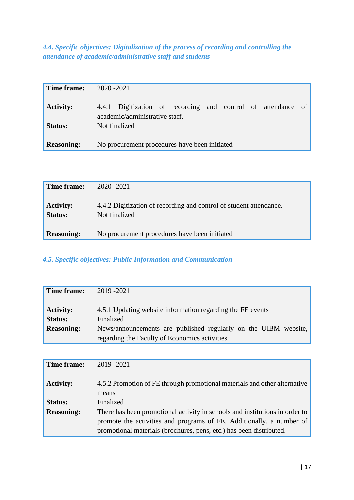*4.4. Specific objectives: Digitalization of the process of recording and controlling the attendance of academic/administrative staff and students*

| Time frame:       | $2020 - 2021$                                                                                  |
|-------------------|------------------------------------------------------------------------------------------------|
| <b>Activity:</b>  | 4.4.1 Digitization of recording and control of attendance of<br>academic/administrative staff. |
| Status:           | Not finalized                                                                                  |
| <b>Reasoning:</b> | No procurement procedures have been initiated                                                  |

| Time frame:                 | 2020 - 2021                                                                         |
|-----------------------------|-------------------------------------------------------------------------------------|
| <b>Activity:</b><br>Status: | 4.4.2 Digitization of recording and control of student attendance.<br>Not finalized |
| <b>Reasoning:</b>           | No procurement procedures have been initiated                                       |

*4.5. Specific objectives: Public Information and Communication* 

| Time frame:                        | 2019 - 2021                                                                                                       |
|------------------------------------|-------------------------------------------------------------------------------------------------------------------|
| <b>Activity:</b><br><b>Status:</b> | 4.5.1 Updating website information regarding the FE events<br>Finalized                                           |
| <b>Reasoning:</b>                  | News/announcements are published regularly on the UIBM website,<br>regarding the Faculty of Economics activities. |

| Time frame:       | 2019 - 2021                                                                 |
|-------------------|-----------------------------------------------------------------------------|
| <b>Activity:</b>  | 4.5.2 Promotion of FE through promotional materials and other alternative   |
|                   | means                                                                       |
| <b>Status:</b>    | Finalized                                                                   |
| <b>Reasoning:</b> | There has been promotional activity in schools and institutions in order to |
|                   | promote the activities and programs of FE. Additionally, a number of        |
|                   | promotional materials (brochures, pens, etc.) has been distributed.         |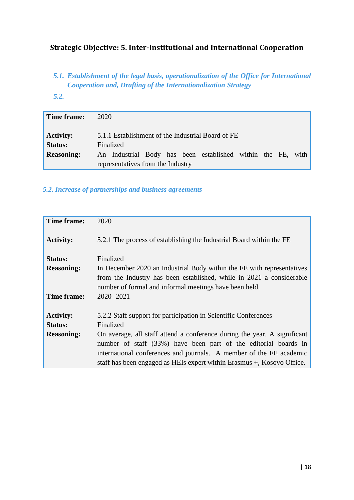### <span id="page-17-0"></span>**Strategic Objective: 5. Inter-Institutional and International Cooperation**

- *5.1. Establishment of the legal basis, operationalization of the Office for International Cooperation and, Drafting of the Internationalization Strategy*
- *5.2.*

| Time frame:                        | 2020                                                                                             |
|------------------------------------|--------------------------------------------------------------------------------------------------|
| <b>Activity:</b><br><b>Status:</b> | 5.1.1 Establishment of the Industrial Board of FE<br>Finalized                                   |
| <b>Reasoning:</b>                  | An Industrial Body has been established within the FE, with<br>representatives from the Industry |

### *5.2. Increase of partnerships and business agreements*

| Time frame:       | 2020                                                                     |
|-------------------|--------------------------------------------------------------------------|
| <b>Activity:</b>  | 5.2.1 The process of establishing the Industrial Board within the FE     |
| Status:           | Finalized                                                                |
| <b>Reasoning:</b> | In December 2020 an Industrial Body within the FE with representatives   |
|                   | from the Industry has been established, while in 2021 a considerable     |
|                   | number of formal and informal meetings have been held.                   |
| Time frame:       | 2020 - 2021                                                              |
| <b>Activity:</b>  | 5.2.2 Staff support for participation in Scientific Conferences          |
| Status:           | Finalized                                                                |
| <b>Reasoning:</b> | On average, all staff attend a conference during the year. A significant |
|                   | number of staff (33%) have been part of the editorial boards in          |
|                   | international conferences and journals. A member of the FE academic      |
|                   | staff has been engaged as HEIs expert within Erasmus +, Kosovo Office.   |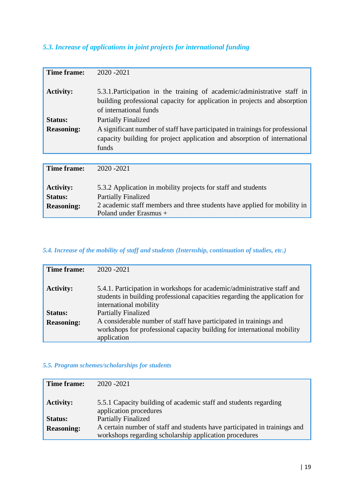### *5.3. Increase of applications in joint projects for international funding*

| Time frame:       | 2020 - 2021                                                                                                                                                                     |
|-------------------|---------------------------------------------------------------------------------------------------------------------------------------------------------------------------------|
| <b>Activity:</b>  | 5.3.1. Participation in the training of academic/administrative staff in<br>building professional capacity for application in projects and absorption<br>of international funds |
| Status:           | <b>Partially Finalized</b>                                                                                                                                                      |
| <b>Reasoning:</b> | A significant number of staff have participated in trainings for professional                                                                                                   |
|                   | capacity building for project application and absorption of international                                                                                                       |
|                   | funds                                                                                                                                                                           |
|                   |                                                                                                                                                                                 |
| Time frame:       | 2020 - 2021                                                                                                                                                                     |
|                   |                                                                                                                                                                                 |
| <b>Activity:</b>  | 5.3.2 Application in mobility projects for staff and students                                                                                                                   |
| <b>Status:</b>    | <b>Partially Finalized</b>                                                                                                                                                      |
| <b>Reasoning:</b> | 2 academic staff members and three students have applied for mobility in                                                                                                        |
|                   | Poland under Erasmus +                                                                                                                                                          |

### *5.4. Increase of the mobility of staff and students (Internship, continuation of studies, etc.)*

| Time frame:       | 2020 - 2021                                                                                                                                                                     |
|-------------------|---------------------------------------------------------------------------------------------------------------------------------------------------------------------------------|
| <b>Activity:</b>  | 5.4.1. Participation in workshops for academic/administrative staff and<br>students in building professional capacities regarding the application for<br>international mobility |
| Status:           | <b>Partially Finalized</b>                                                                                                                                                      |
| <b>Reasoning:</b> | A considerable number of staff have participated in trainings and<br>workshops for professional capacity building for international mobility<br>application                     |

#### *5.5. Program schemes/scholarships for students*

| Time frame:       | $2020 - 2021$                                                                                                                       |
|-------------------|-------------------------------------------------------------------------------------------------------------------------------------|
| <b>Activity:</b>  | 5.5.1 Capacity building of academic staff and students regarding<br>application procedures                                          |
| <b>Status:</b>    | <b>Partially Finalized</b>                                                                                                          |
| <b>Reasoning:</b> | A certain number of staff and students have participated in trainings and<br>workshops regarding scholarship application procedures |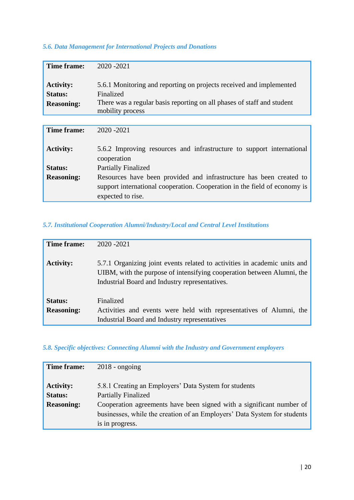### *5.6. Data Management for International Projects and Donations*

| Time frame:       | 2020 - 2021                                                                                |  |  |  |  |
|-------------------|--------------------------------------------------------------------------------------------|--|--|--|--|
|                   |                                                                                            |  |  |  |  |
| <b>Activity:</b>  | 5.6.1 Monitoring and reporting on projects received and implemented                        |  |  |  |  |
| Status:           | Finalized                                                                                  |  |  |  |  |
| <b>Reasoning:</b> | There was a regular basis reporting on all phases of staff and student<br>mobility process |  |  |  |  |
|                   |                                                                                            |  |  |  |  |
| Time frame:       | 2020 - 2021                                                                                |  |  |  |  |
| <b>Activity:</b>  | 5.6.2 Improving resources and infrastructure to support international<br>cooperation       |  |  |  |  |
| Status:           | <b>Partially Finalized</b>                                                                 |  |  |  |  |
| <b>Reasoning:</b> | Resources have been provided and infrastructure has been created to                        |  |  |  |  |
|                   | support international cooperation. Cooperation in the field of economy is                  |  |  |  |  |
|                   | expected to rise.                                                                          |  |  |  |  |

### *5.7. Institutional Cooperation Alumni/Industry/Local and Central Level Institutions*

| Time frame:                  | 2020 - 2021                                                                                                                                                                                           |
|------------------------------|-------------------------------------------------------------------------------------------------------------------------------------------------------------------------------------------------------|
| <b>Activity:</b>             | 5.7.1 Organizing joint events related to activities in academic units and<br>UIBM, with the purpose of intensifying cooperation between Alumni, the<br>Industrial Board and Industry representatives. |
| Status:<br><b>Reasoning:</b> | Finalized<br>Activities and events were held with representatives of Alumni, the<br>Industrial Board and Industry representatives                                                                     |

#### *5.8. Specific objectives: Connecting Alumni with the Industry and Government employers*

| Time frame:                        | $2018$ - ongoing                                                                    |
|------------------------------------|-------------------------------------------------------------------------------------|
| <b>Activity:</b><br><b>Status:</b> | 5.8.1 Creating an Employers' Data System for students<br><b>Partially Finalized</b> |
|                                    |                                                                                     |
| <b>Reasoning:</b>                  | Cooperation agreements have been signed with a significant number of                |
|                                    | businesses, while the creation of an Employers' Data System for students            |
|                                    | is in progress.                                                                     |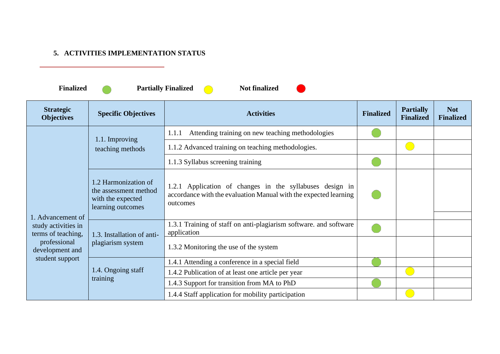### **5. ACTIVITIES IMPLEMENTATION STATUS**

**Partially Finalized C** Not finalized

 $\blacksquare$ 

<span id="page-20-0"></span>

| <b>Strategic</b><br><b>Objectives</b>                          | <b>Specific Objectives</b>                                                              | <b>Activities</b>                                                                                                                        | <b>Finalized</b> | <b>Partially</b><br><b>Finalized</b> | <b>Not</b><br><b>Finalized</b> |
|----------------------------------------------------------------|-----------------------------------------------------------------------------------------|------------------------------------------------------------------------------------------------------------------------------------------|------------------|--------------------------------------|--------------------------------|
|                                                                |                                                                                         | Attending training on new teaching methodologies<br>1.1.1                                                                                |                  |                                      |                                |
|                                                                | 1.1. Improving<br>teaching methods                                                      | 1.1.2 Advanced training on teaching methodologies.                                                                                       |                  |                                      |                                |
|                                                                |                                                                                         | 1.1.3 Syllabus screening training                                                                                                        |                  |                                      |                                |
|                                                                | 1.2 Harmonization of<br>the assessment method<br>with the expected<br>learning outcomes | 1.2.1 Application of changes in the syllabuses design in<br>accordance with the evaluation Manual with the expected learning<br>outcomes |                  |                                      |                                |
| 1. Advancement of<br>study activities in<br>terms of teaching, | 1.3. Installation of anti-                                                              | 1.3.1 Training of staff on anti-plagiarism software. and software<br>application                                                         |                  |                                      |                                |
| professional<br>development and<br>student support             | plagiarism system                                                                       | 1.3.2 Monitoring the use of the system                                                                                                   |                  |                                      |                                |
|                                                                |                                                                                         | 1.4.1 Attending a conference in a special field                                                                                          |                  |                                      |                                |
|                                                                | 1.4. Ongoing staff                                                                      | 1.4.2 Publication of at least one article per year                                                                                       |                  |                                      |                                |
|                                                                | training                                                                                | 1.4.3 Support for transition from MA to PhD                                                                                              |                  |                                      |                                |
|                                                                |                                                                                         | 1.4.4 Staff application for mobility participation                                                                                       |                  |                                      |                                |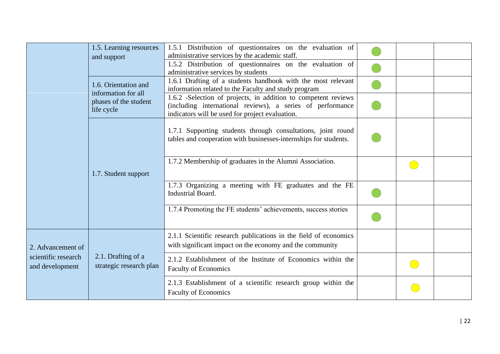|                                        | 1.5. Learning resources<br>and support        | 1.5.1 Distribution of questionnaires on the evaluation of<br>administrative services by the academic staff.                                                                     |  |  |
|----------------------------------------|-----------------------------------------------|---------------------------------------------------------------------------------------------------------------------------------------------------------------------------------|--|--|
|                                        |                                               | 1.5.2 Distribution of questionnaires on the evaluation of<br>administrative services by students                                                                                |  |  |
|                                        | 1.6. Orientation and<br>information for all   | 1.6.1 Drafting of a students handbook with the most relevant<br>information related to the Faculty and study program                                                            |  |  |
|                                        | phases of the student<br>life cycle           | 1.6.2 -Selection of projects, in addition to competent reviews<br>(including international reviews), a series of performance<br>indicators will be used for project evaluation. |  |  |
|                                        |                                               | 1.7.1 Supporting students through consultations, joint round<br>tables and cooperation with businesses-internships for students.                                                |  |  |
|                                        | 1.7. Student support                          | 1.7.2 Membership of graduates in the Alumni Association.                                                                                                                        |  |  |
|                                        |                                               | 1.7.3 Organizing a meeting with FE graduates and the FE<br>Industrial Board.                                                                                                    |  |  |
|                                        |                                               | 1.7.4 Promoting the FE students' achievements, success stories                                                                                                                  |  |  |
| 2. Advancement of                      |                                               | 2.1.1 Scientific research publications in the field of economics<br>with significant impact on the economy and the community                                                    |  |  |
| scientific research<br>and development | 2.1. Drafting of a<br>strategic research plan | 2.1.2 Establishment of the Institute of Economics within the<br><b>Faculty of Economics</b>                                                                                     |  |  |
|                                        |                                               | 2.1.3 Establishment of a scientific research group within the<br><b>Faculty of Economics</b>                                                                                    |  |  |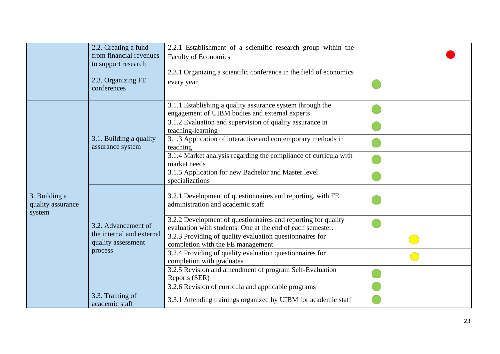|                                              | 2.2. Creating a fund<br>from financial revenues<br>to support research | 2.2.1 Establishment of a scientific research group within the<br><b>Faculty of Economics</b>                                |  |  |
|----------------------------------------------|------------------------------------------------------------------------|-----------------------------------------------------------------------------------------------------------------------------|--|--|
|                                              | 2.3. Organizing FE<br>conferences                                      | 2.3.1 Organizing a scientific conference in the field of economics<br>every year                                            |  |  |
|                                              |                                                                        | 3.1.1. Establishing a quality assurance system through the<br>engagement of UIBM bodies and external experts                |  |  |
|                                              |                                                                        | 3.1.2 Evaluation and supervision of quality assurance in<br>teaching-learning                                               |  |  |
|                                              | 3.1. Building a quality<br>assurance system                            | 3.1.3 Application of interactive and contemporary methods in<br>teaching                                                    |  |  |
|                                              |                                                                        | 3.1.4 Market analysis regarding the compliance of curricula with<br>market needs                                            |  |  |
|                                              |                                                                        | 3.1.5 Application for new Bachelor and Master level<br>specializations                                                      |  |  |
| 3. Building a<br>quality assurance<br>system |                                                                        | 3.2.1 Development of questionnaires and reporting, with FE<br>administration and academic staff                             |  |  |
|                                              | 3.2. Advancement of                                                    | 3.2.2 Development of questionnaires and reporting for quality<br>evaluation with students: One at the end of each semester. |  |  |
|                                              | the internal and external<br>quality assessment                        | 3.2.3 Providing of quality evaluation questionnaires for<br>completion with the FE management                               |  |  |
|                                              | process                                                                | 3.2.4 Providing of quality evaluation questionnaires for<br>completion with graduates                                       |  |  |
|                                              |                                                                        | 3.2.5 Revision and amendment of program Self-Evaluation<br>Reports (SER)                                                    |  |  |
|                                              |                                                                        | 3.2.6 Revision of curricula and applicable programs                                                                         |  |  |
|                                              | 3.3. Training of<br>academic staff                                     | 3.3.1 Attending trainings organized by UIBM for academic staff                                                              |  |  |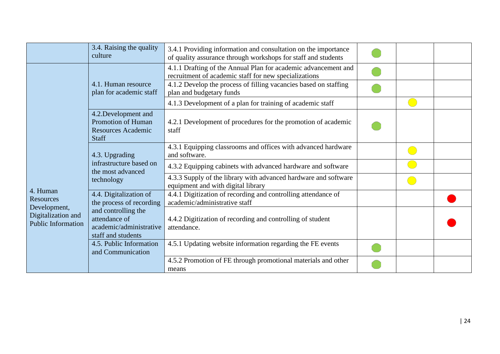|                                                                                                 | 3.4. Raising the quality<br>culture                                                            | 3.4.1 Providing information and consultation on the importance<br>of quality assurance through workshops for staff and students |  |  |
|-------------------------------------------------------------------------------------------------|------------------------------------------------------------------------------------------------|---------------------------------------------------------------------------------------------------------------------------------|--|--|
|                                                                                                 |                                                                                                | 4.1.1 Drafting of the Annual Plan for academic advancement and<br>recruitment of academic staff for new specializations         |  |  |
|                                                                                                 | 4.1. Human resource<br>plan for academic staff                                                 | 4.1.2 Develop the process of filling vacancies based on staffing<br>plan and budgetary funds                                    |  |  |
|                                                                                                 |                                                                                                | 4.1.3 Development of a plan for training of academic staff                                                                      |  |  |
|                                                                                                 | 4.2. Development and<br><b>Promotion of Human</b><br><b>Resources Academic</b><br><b>Staff</b> | 4.2.1 Development of procedures for the promotion of academic<br>staff                                                          |  |  |
|                                                                                                 | 4.3. Upgrading                                                                                 | 4.3.1 Equipping classrooms and offices with advanced hardware<br>and software.                                                  |  |  |
|                                                                                                 | infrastructure based on<br>the most advanced                                                   | 4.3.2 Equipping cabinets with advanced hardware and software                                                                    |  |  |
|                                                                                                 | technology                                                                                     | 4.3.3 Supply of the library with advanced hardware and software<br>equipment and with digital library                           |  |  |
| 4. Human<br><b>Resources</b><br>Development,<br>Digitalization and<br><b>Public Information</b> | 4.4. Digitalization of<br>the process of recording                                             | 4.4.1 Digitization of recording and controlling attendance of<br>academic/administrative staff                                  |  |  |
|                                                                                                 | and controlling the<br>attendance of<br>academic/administrative<br>staff and students          | 4.4.2 Digitization of recording and controlling of student<br>attendance.                                                       |  |  |
|                                                                                                 | 4.5. Public Information<br>and Communication                                                   | 4.5.1 Updating website information regarding the FE events                                                                      |  |  |
|                                                                                                 |                                                                                                | 4.5.2 Promotion of FE through promotional materials and other<br>means                                                          |  |  |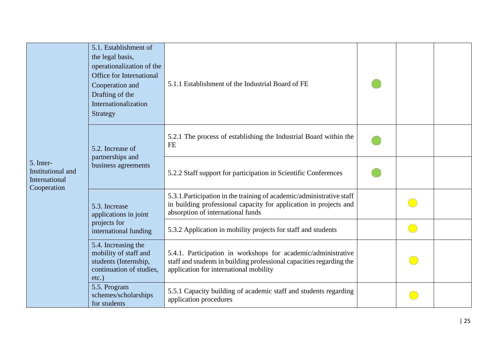| 5. Inter-<br>Institutional and<br>International<br>Cooperation | 5.1. Establishment of<br>the legal basis,<br>operationalization of the<br>Office for International<br>Cooperation and<br>Drafting of the<br>Internationalization<br>Strategy | 5.1.1 Establishment of the Industrial Board of FE                                                                                                                               |        |  |
|----------------------------------------------------------------|------------------------------------------------------------------------------------------------------------------------------------------------------------------------------|---------------------------------------------------------------------------------------------------------------------------------------------------------------------------------|--------|--|
|                                                                | 5.2. Increase of                                                                                                                                                             | 5.2.1 The process of establishing the Industrial Board within the<br><b>FE</b>                                                                                                  |        |  |
|                                                                | partnerships and<br>business agreements                                                                                                                                      | 5.2.2 Staff support for participation in Scientific Conferences                                                                                                                 |        |  |
|                                                                | 5.3. Increase<br>applications in joint                                                                                                                                       | 5.3.1. Participation in the training of academic/administrative staff<br>in building professional capacity for application in projects and<br>absorption of international funds |        |  |
|                                                                | projects for<br>international funding                                                                                                                                        | 5.3.2 Application in mobility projects for staff and students                                                                                                                   | (and a |  |
|                                                                | 5.4. Increasing the<br>mobility of staff and<br>students (Internship,<br>continuation of studies,<br>$etc.$ )                                                                | 5.4.1. Participation in workshops for academic/administrative<br>staff and students in building professional capacities regarding the<br>application for international mobility |        |  |
|                                                                | 5.5. Program<br>schemes/scholarships<br>for students                                                                                                                         | 5.5.1 Capacity building of academic staff and students regarding<br>application procedures                                                                                      |        |  |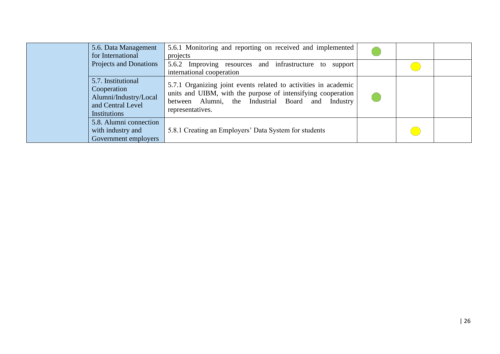| 5.6. Data Management<br>for International                                                              | 5.6.1 Monitoring and reporting on received and implemented<br>projects                                                                                                                                      |  |  |
|--------------------------------------------------------------------------------------------------------|-------------------------------------------------------------------------------------------------------------------------------------------------------------------------------------------------------------|--|--|
| Projects and Donations                                                                                 | 5.6.2 Improving resources and infrastructure to<br>support<br>international cooperation                                                                                                                     |  |  |
| 5.7. Institutional<br>Cooperation<br>Alumni/Industry/Local<br>and Central Level<br><b>Institutions</b> | 5.7.1 Organizing joint events related to activities in academic<br>units and UIBM, with the purpose of intensifying cooperation<br>between Alumni, the Industrial Board and<br>Industry<br>representatives. |  |  |
| 5.8. Alumni connection<br>with industry and<br>Government employers                                    | 5.8.1 Creating an Employers' Data System for students                                                                                                                                                       |  |  |